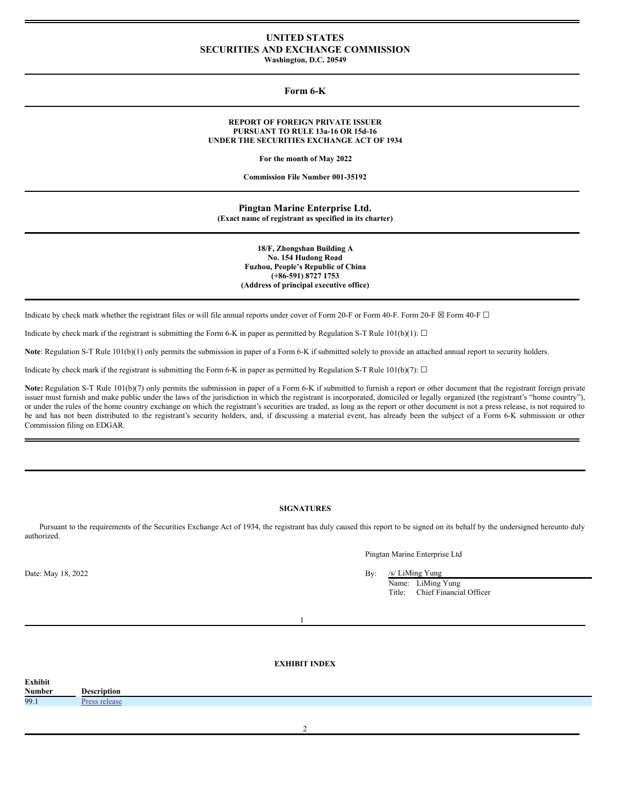# **UNITED STATES SECURITIES AND EXCHANGE COMMISSION Washington, D.C. 20549**

**Form 6-K**

## **REPORT OF FOREIGN PRIVATE ISSUER PURSUANT TO RULE 13a-16 OR 15d-16 UNDER THE SECURITIES EXCHANGE ACT OF 1934**

**For the month of May 2022**

**Commission File Number 001-35192**

**Pingtan Marine Enterprise Ltd. (Exact name of registrant as specified in its charter)**

> **18/F, Zhongshan Building A No. 154 Hudong Road Fuzhou, People's Republic of China (+86-591) 8727 1753 (Address of principal executive office)**

Indicate by check mark whether the registrant files or will file annual reports under cover of Form 20-F or Form 40-F. Form 20-F  $\boxtimes$  Form 40-F  $\Box$ 

Indicate by check mark if the registrant is submitting the Form 6-K in paper as permitted by Regulation S-T Rule 101(b)(1):  $\Box$ 

**Note**: Regulation S-T Rule 101(b)(1) only permits the submission in paper of a Form 6-K if submitted solely to provide an attached annual report to security holders.

Indicate by check mark if the registrant is submitting the Form 6-K in paper as permitted by Regulation S-T Rule 101(b)(7):  $\Box$ 

Note: Regulation S-T Rule 101(b)(7) only permits the submission in paper of a Form 6-K if submitted to furnish a report or other document that the registrant foreign private issuer must furnish and make public under the laws of the jurisdiction in which the registrant is incorporated, domiciled or legally organized (the registrant's "home country"), or under the rules of the home country exchange on which the registrant's securities are traded, as long as the report or other document is not a press release, is not required to be and has not been distributed to the registrant's security holders, and, if discussing a material event, has already been the subject of a Form 6-K submission or other Commission filing on EDGAR.

# **SIGNATURES**

Pursuant to the requirements of the Securities Exchange Act of 1934, the registrant has duly caused this report to be signed on its behalf by the undersigned hereunto duly authorized.

Pingtan Marine Enterprise Ltd

Date: May 18, 2022 By: /s/ LiMing Yung

Name: LiMing Yung Title: Chief Financial Officer

1

## **EXHIBIT INDEX**

| Exhibit       |             |
|---------------|-------------|
| <b>Number</b> | Description |
| 99.1          |             |

 $\overline{\mathcal{L}}$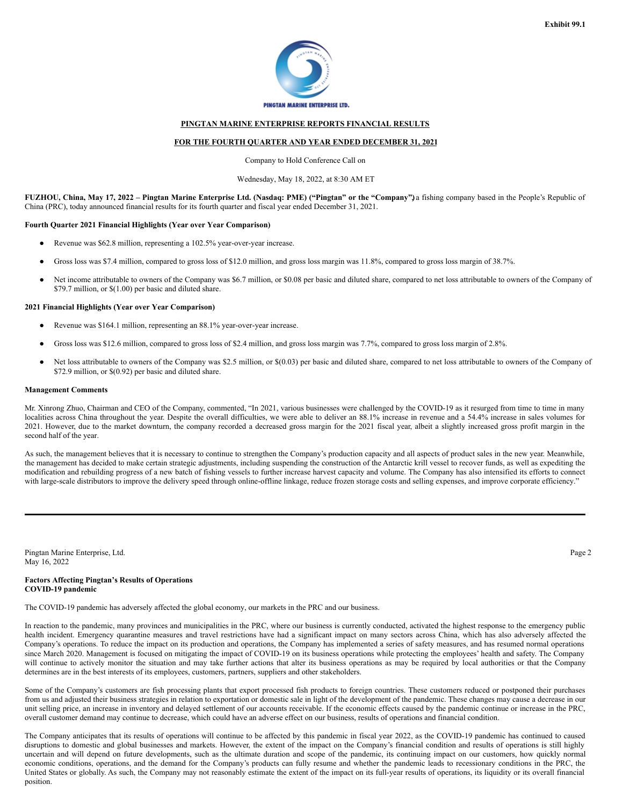

# **PINGTAN MARINE ENTERPRISE REPORTS FINANCIAL RESULTS**

## **FOR THE FOURTH QUARTER AND YEAR ENDED DECEMBER 31, 2021**

Company to Hold Conference Call on

### Wednesday, May 18, 2022, at 8:30 AM ET

FUZHOU, China, May 17, 2022 - Pingtan Marine Enterprise Ltd. (Nasdaq: PME) ("Pingtan" or the "Company") a fishing company based in the People's Republic of China (PRC), today announced financial results for its fourth quarter and fiscal year ended December 31, 2021.

### **Fourth Quarter 2021 Financial Highlights (Year over Year Comparison)**

- Revenue was \$62.8 million, representing a 102.5% year-over-year increase.
- Gross loss was \$7.4 million, compared to gross loss of \$12.0 million, and gross loss margin was 11.8%, compared to gross loss margin of 38.7%.
- Net income attributable to owners of the Company was \$6.7 million, or \$0.08 per basic and diluted share, compared to net loss attributable to owners of the Company of \$79.7 million, or \$(1.00) per basic and diluted share.

### **2021 Financial Highlights (Year over Year Comparison)**

- Revenue was \$164.1 million, representing an 88.1% year-over-year increase.
- Gross loss was \$12.6 million, compared to gross loss of \$2.4 million, and gross loss margin was 7.7%, compared to gross loss margin of 2.8%.
- Net loss attributable to owners of the Company was \$2.5 million, or \$(0.03) per basic and diluted share, compared to net loss attributable to owners of the Company of \$72.9 million, or \$(0.92) per basic and diluted share.

## **Management Comments**

Mr. Xinrong Zhuo, Chairman and CEO of the Company, commented, "In 2021, various businesses were challenged by the COVID-19 as it resurged from time to time in many localities across China throughout the year. Despite the overall difficulties, we were able to deliver an 88.1% increase in revenue and a 54.4% increase in sales volumes for 2021. However, due to the market downturn, the company recorded a decreased gross margin for the 2021 fiscal year, albeit a slightly increased gross profit margin in the second half of the year.

As such, the management believes that it is necessary to continue to strengthen the Company's production capacity and all aspects of product sales in the new year. Meanwhile, the management has decided to make certain strategic adjustments, including suspending the construction of the Antarctic krill vessel to recover funds, as well as expediting the modification and rebuilding progress of a new batch of fishing vessels to further increase harvest capacity and volume. The Company has also intensified its efforts to connect with large-scale distributors to improve the delivery speed through online-offline linkage, reduce frozen storage costs and selling expenses, and improve corporate efficiency."

Pingtan Marine Enterprise, Ltd. Page 2 May 16, 2022

# **Factors Affecting Pingtan's Results of Operations COVID-19 pandemic**

The COVID-19 pandemic has adversely affected the global economy, our markets in the PRC and our business.

In reaction to the pandemic, many provinces and municipalities in the PRC, where our business is currently conducted, activated the highest response to the emergency public health incident. Emergency quarantine measures and travel restrictions have had a significant impact on many sectors across China, which has also adversely affected the Company's operations. To reduce the impact on its production and operations, the Company has implemented a series of safety measures, and has resumed normal operations since March 2020. Management is focused on mitigating the impact of COVID-19 on its business operations while protecting the employees' health and safety. The Company will continue to actively monitor the situation and may take further actions that alter its business operations as may be required by local authorities or that the Company determines are in the best interests of its employees, customers, partners, suppliers and other stakeholders.

Some of the Company's customers are fish processing plants that export processed fish products to foreign countries. These customers reduced or postponed their purchases from us and adjusted their business strategies in relation to exportation or domestic sale in light of the development of the pandemic. These changes may cause a decrease in our unit selling price, an increase in inventory and delayed settlement of our accounts receivable. If the economic effects caused by the pandemic continue or increase in the PRC, overall customer demand may continue to decrease, which could have an adverse effect on our business, results of operations and financial condition.

The Company anticipates that its results of operations will continue to be affected by this pandemic in fiscal year 2022, as the COVID-19 pandemic has continued to caused disruptions to domestic and global businesses and markets. However, the extent of the impact on the Company's financial condition and results of operations is still highly uncertain and will depend on future developments, such as the ultimate duration and scope of the pandemic, its continuing impact on our customers, how quickly normal economic conditions, operations, and the demand for the Company's products can fully resume and whether the pandemic leads to recessionary conditions in the PRC, the United States or globally. As such, the Company may not reasonably estimate the extent of the impact on its full-year results of operations, its liquidity or its overall financial position.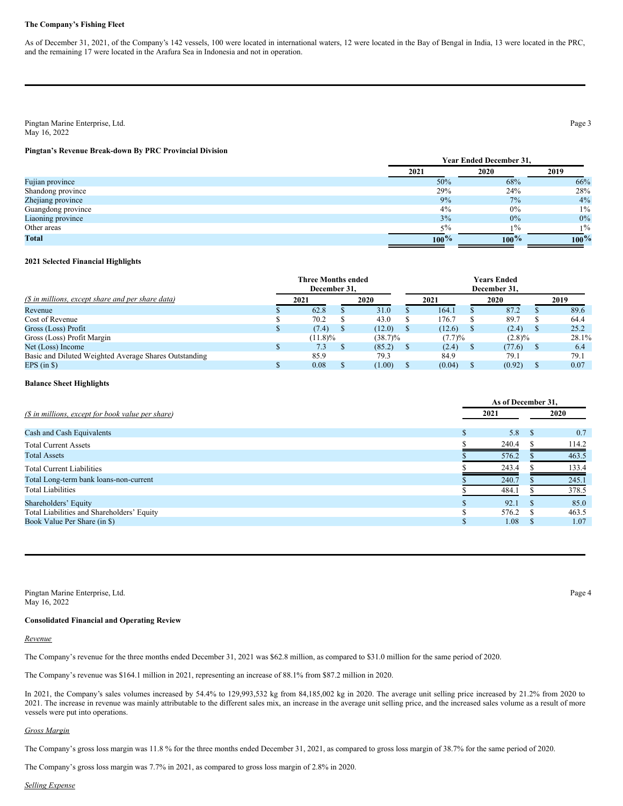## **The Company's Fishing Fleet**

As of December 31, 2021, of the Company's 142 vessels, 100 were located in international waters, 12 were located in the Bay of Bengal in India, 13 were located in the PRC, and the remaining 17 were located in the Arafura Sea in Indonesia and not in operation.

Pingtan Marine Enterprise, Ltd. Page 3 May 16, 2022

# **Pingtan's Revenue Break-down By PRC Provincial Division**

|                    | <b>Year Ended December 31.</b> |         |         |  |  |  |  |
|--------------------|--------------------------------|---------|---------|--|--|--|--|
|                    | 2021                           | 2020    | 2019    |  |  |  |  |
| Fujian province    | 50%                            | 68%     | 66%     |  |  |  |  |
| Shandong province  | 29%                            | 24%     | 28%     |  |  |  |  |
| Zhejiang province  | 9%                             | 7%      | 4%      |  |  |  |  |
| Guangdong province | 4%                             | 0%      | $1\%$   |  |  |  |  |
| Liaoning province  | 3%                             | $0\%$   | $0\%$   |  |  |  |  |
| Other areas        | $5\%$                          | $1\%$   | $1\%$   |  |  |  |  |
| <b>Total</b>       | $100\%$                        | $100\%$ | $100\%$ |  |  |  |  |

# **2021 Selected Financial Highlights**

|                                                       | <b>Three Months ended</b><br>December 31. |            |              |        | Years Ended<br>December 31. |       |
|-------------------------------------------------------|-------------------------------------------|------------|--------------|--------|-----------------------------|-------|
| (\$ in millions, except share and per share data)     | 2021                                      | 2020       |              | 2021   | 2020                        | 2019  |
| Revenue                                               | 62.8                                      | 31.0       |              | 164.1  | 87.2                        | 89.6  |
| Cost of Revenue                                       | 70.2                                      | 43.0       |              | .76.7  | 89.7                        | 64.4  |
| Gross (Loss) Profit                                   | (7.4)                                     | (12.0)     |              | (12.6) | (2.4)                       | 25.2  |
| Gross (Loss) Profit Margin                            | $(11.8)\%$                                | $(38.7)\%$ |              | (7.7)% | $(2.8)\%$                   | 28.1% |
| Net (Loss) Income                                     | 7.3                                       | (85.2)     | <sup>S</sup> | (2.4)  | (77.6)                      | 6.4   |
| Basic and Diluted Weighted Average Shares Outstanding | 85.9                                      | 79.3       |              | 84.9   | 79.1                        | 79.1  |
| EPS $(in S)$                                          | 0.08                                      | (1.00)     |              | (0.04) | (0.92)                      | 0.07  |

#### **Balance Sheet Highlights**

|                                                   |   |       | As of December 31. |       |
|---------------------------------------------------|---|-------|--------------------|-------|
| (\$ in millions, except for book value per share) |   | 2021  |                    | 2020  |
| Cash and Cash Equivalents                         |   | 5.8   | -8                 | 0.7   |
| <b>Total Current Assets</b>                       |   | 240.4 |                    | 114.2 |
| <b>Total Assets</b>                               |   | 576.2 |                    | 463.5 |
| <b>Total Current Liabilities</b>                  |   | 243.4 |                    | 133.4 |
| Total Long-term bank loans-non-current            |   | 240.7 |                    | 245.1 |
| <b>Total Liabilities</b>                          |   | 484.1 |                    | 378.5 |
| Shareholders' Equity                              |   | 92.1  |                    | 85.0  |
| Total Liabilities and Shareholders' Equity        | ¢ | 576.2 |                    | 463.5 |
| Book Value Per Share (in \$)                      |   | 1.08  | S.                 | 1.07  |

Pingtan Marine Enterprise, Ltd. Page 4 May 16, 2022

## **Consolidated Financial and Operating Review**

*Revenue*

The Company's revenue for the three months ended December 31, 2021 was \$62.8 million, as compared to \$31.0 million for the same period of 2020.

The Company's revenue was \$164.1 million in 2021, representing an increase of 88.1% from \$87.2 million in 2020.

In 2021, the Company's sales volumes increased by 54.4% to 129,993,532 kg from 84,185,002 kg in 2020. The average unit selling price increased by 21.2% from 2020 to 2021. The increase in revenue was mainly attributable to the different sales mix, an increase in the average unit selling price, and the increased sales volume as a result of more vessels were put into operations.

## *Gross Margin*

The Company's gross loss margin was 11.8 % for the three months ended December 31, 2021, as compared to gross loss margin of 38.7% for the same period of 2020.

The Company's gross loss margin was 7.7% in 2021, as compared to gross loss margin of 2.8% in 2020.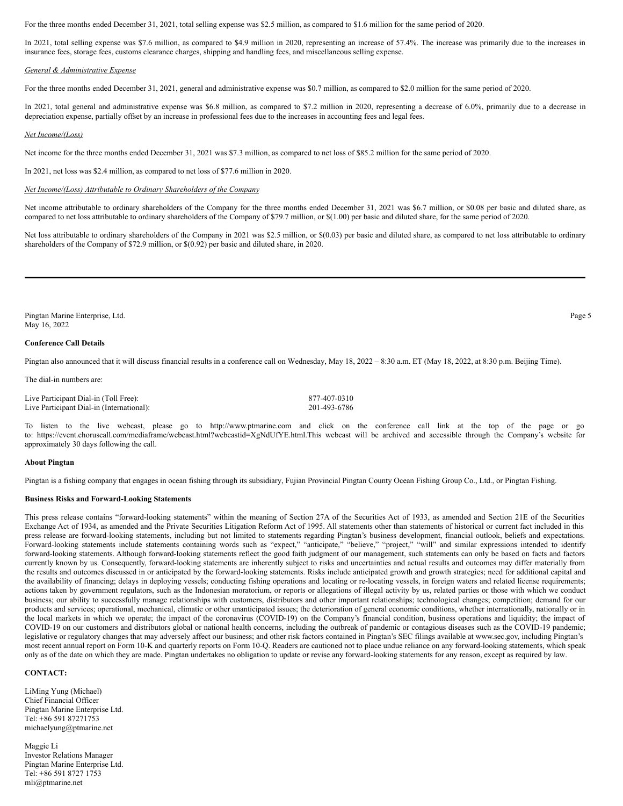For the three months ended December 31, 2021, total selling expense was \$2.5 million, as compared to \$1.6 million for the same period of 2020.

In 2021, total selling expense was \$7.6 million, as compared to \$4.9 million in 2020, representing an increase of 57.4%. The increase was primarily due to the increases in insurance fees, storage fees, customs clearance charges, shipping and handling fees, and miscellaneous selling expense.

#### *General & Administrative Expense*

For the three months ended December 31, 2021, general and administrative expense was \$0.7 million, as compared to \$2.0 million for the same period of 2020.

In 2021, total general and administrative expense was \$6.8 million, as compared to \$7.2 million in 2020, representing a decrease of 6.0%, primarily due to a decrease in depreciation expense, partially offset by an increase in professional fees due to the increases in accounting fees and legal fees.

#### *Net Income/(Loss)*

Net income for the three months ended December 31, 2021 was \$7.3 million, as compared to net loss of \$85.2 million for the same period of 2020.

In 2021, net loss was \$2.4 million, as compared to net loss of \$77.6 million in 2020.

#### *Net Income/(Loss) Attributable to Ordinary Shareholders of the Company*

Net income attributable to ordinary shareholders of the Company for the three months ended December 31, 2021 was \$6.7 million, or \$0.08 per basic and diluted share, as compared to net loss attributable to ordinary shareholders of the Company of \$79.7 million, or \$(1.00) per basic and diluted share, for the same period of 2020.

Net loss attributable to ordinary shareholders of the Company in 2021 was \$2.5 million, or \$(0.03) per basic and diluted share, as compared to net loss attributable to ordinary shareholders of the Company of \$72.9 million, or \$(0.92) per basic and diluted share, in 2020.

Pingtan Marine Enterprise, Ltd. Page 5 May 16, 2022

#### **Conference Call Details**

Pingtan also announced that it will discuss financial results in a conference call on Wednesday, May 18, 2022 – 8:30 a.m. ET (May 18, 2022, at 8:30 p.m. Beijing Time).

The dial-in numbers are:

Live Participant Dial-in (Toll Free): 877-407-0310 Live Participant Dial-in (International): 201-493-6786

To listen to the live webcast, please go to http://www.ptmarine.com and click on the conference call link at the top of the page or go to: https://event.choruscall.com/mediaframe/webcast.html?webcastid=XgNdUfYE.html.This webcast will be archived and accessible through the Company's website for approximately 30 days following the call.

## **About Pingtan**

Pingtan is a fishing company that engages in ocean fishing through its subsidiary, Fujian Provincial Pingtan County Ocean Fishing Group Co., Ltd., or Pingtan Fishing.

## **Business Risks and Forward-Looking Statements**

This press release contains "forward-looking statements" within the meaning of Section 27A of the Securities Act of 1933, as amended and Section 21E of the Securities Exchange Act of 1934, as amended and the Private Securities Litigation Reform Act of 1995. All statements other than statements of historical or current fact included in this press release are forward-looking statements, including but not limited to statements regarding Pingtan's business development, financial outlook, beliefs and expectations. Forward-looking statements include statements containing words such as "expect," "anticipate," "believe," "project," "will" and similar expressions intended to identify forward-looking statements. Although forward-looking statements reflect the good faith judgment of our management, such statements can only be based on facts and factors currently known by us. Consequently, forward-looking statements are inherently subject to risks and uncertainties and actual results and outcomes may differ materially from the results and outcomes discussed in or anticipated by the forward-looking statements. Risks include anticipated growth and growth strategies; need for additional capital and the availability of financing; delays in deploying vessels; conducting fishing operations and locating or re-locating vessels, in foreign waters and related license requirements; actions taken by government regulators, such as the Indonesian moratorium, or reports or allegations of illegal activity by us, related parties or those with which we conduct business; our ability to successfully manage relationships with customers, distributors and other important relationships; technological changes; competition; demand for our products and services; operational, mechanical, climatic or other unanticipated issues; the deterioration of general economic conditions, whether internationally, nationally or in the local markets in which we operate; the impact of the coronavirus (COVID-19) on the Company's financial condition, business operations and liquidity; the impact of COVID-19 on our customers and distributors global or national health concerns, including the outbreak of pandemic or contagious diseases such as the COVID-19 pandemic; legislative or regulatory changes that may adversely affect our business; and other risk factors contained in Pingtan's SEC filings available at www.sec.gov, including Pingtan's most recent annual report on Form 10-K and quarterly reports on Form 10-Q. Readers are cautioned not to place undue reliance on any forward-looking statements, which speak only as of the date on which they are made. Pingtan undertakes no obligation to update or revise any forward-looking statements for any reason, except as required by law.

# **CONTACT:**

LiMing Yung (Michael) Chief Financial Officer Pingtan Marine Enterprise Ltd. Tel: +86 591 87271753 michaelyung@ptmarine.net

Maggie Li Investor Relations Manager Pingtan Marine Enterprise Ltd. Tel: +86 591 8727 1753 mli@ptmarine.net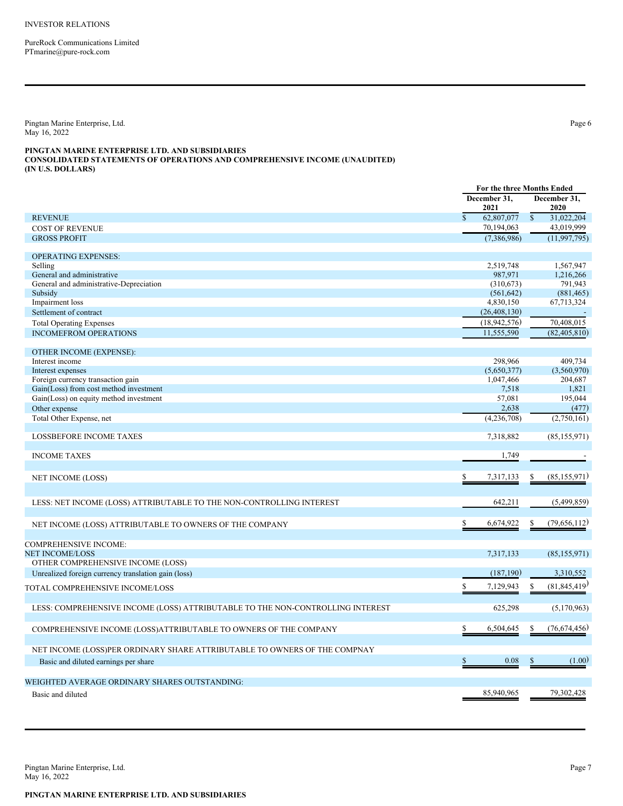<span id="page-4-0"></span>PureRock Communications Limited PTmarine@pure-rock.com

Pingtan Marine Enterprise, Ltd. Page 6 May 16, 2022

## **PINGTAN MARINE ENTERPRISE LTD. AND SUBSIDIARIES CONSOLIDATED STATEMENTS OF OPERATIONS AND COMPREHENSIVE INCOME (UNAUDITED) (IN U.S. DOLLARS)**

|                                                                                | For the three Months Ended |                         |               |                       |
|--------------------------------------------------------------------------------|----------------------------|-------------------------|---------------|-----------------------|
|                                                                                |                            | December 31,<br>2021    |               | December 31,<br>2020  |
| <b>REVENUE</b>                                                                 | $\mathbf S$                | 62,807,077              | $\mathsf{\$}$ | 31,022,204            |
| <b>COST OF REVENUE</b>                                                         |                            | 70,194,063              |               | 43,019,999            |
| <b>GROSS PROFIT</b>                                                            |                            | (7,386,986)             |               | (11, 997, 795)        |
| <b>OPERATING EXPENSES:</b>                                                     |                            |                         |               |                       |
| Selling                                                                        |                            | 2,519,748               |               | 1,567,947             |
| General and administrative                                                     |                            | 987,971                 |               | 1,216,266             |
| General and administrative-Depreciation<br>Subsidy                             |                            | (310,673)               |               | 791,943<br>(881, 465) |
| Impairment loss                                                                |                            | (561, 642)<br>4,830,150 |               | 67,713,324            |
| Settlement of contract                                                         |                            | (26, 408, 130)          |               |                       |
| <b>Total Operating Expenses</b>                                                |                            | (18, 942, 576)          |               | 70,408,015            |
| <b>INCOMEFROM OPERATIONS</b>                                                   |                            | 11,555,590              |               | (82, 405, 810)        |
|                                                                                |                            |                         |               |                       |
| OTHER INCOME (EXPENSE):                                                        |                            |                         |               |                       |
| Interest income                                                                |                            | 298,966                 |               | 409,734               |
| Interest expenses                                                              |                            | (5,650,377)             |               | (3,560,970)           |
| Foreign currency transaction gain                                              |                            | 1,047,466               |               | 204,687               |
| Gain(Loss) from cost method investment                                         |                            | 7,518                   |               | 1,821                 |
| Gain(Loss) on equity method investment                                         |                            | 57,081                  |               | 195,044               |
| Other expense                                                                  |                            | 2,638                   |               | (477)                 |
| Total Other Expense, net                                                       |                            | (4,236,708)             |               | (2,750,161)           |
| <b>LOSSBEFORE INCOME TAXES</b>                                                 |                            | 7,318,882               |               | (85, 155, 971)        |
| <b>INCOME TAXES</b>                                                            |                            | 1,749                   |               |                       |
| NET INCOME (LOSS)                                                              | S.                         | 7,317,133               | \$            | (85, 155, 971)        |
|                                                                                |                            |                         |               |                       |
| LESS: NET INCOME (LOSS) ATTRIBUTABLE TO THE NON-CONTROLLING INTEREST           |                            | 642,211                 |               | (5,499,859)           |
| NET INCOME (LOSS) ATTRIBUTABLE TO OWNERS OF THE COMPANY                        | Ś                          | 6,674,922               | S.            | (79,656,112)          |
| COMPREHENSIVE INCOME:                                                          |                            |                         |               |                       |
| <b>NET INCOME/LOSS</b>                                                         |                            | 7,317,133               |               | (85, 155, 971)        |
| OTHER COMPREHENSIVE INCOME (LOSS)                                              |                            |                         |               |                       |
| Unrealized foreign currency translation gain (loss)                            |                            | (187, 190)              |               | 3,310,552             |
| TOTAL COMPREHENSIVE INCOME/LOSS                                                | \$                         | 7,129,943               | \$            | (81, 845, 419)        |
|                                                                                |                            |                         |               |                       |
| LESS: COMPREHENSIVE INCOME (LOSS) ATTRIBUTABLE TO THE NON-CONTROLLING INTEREST |                            | 625,298                 |               | (5,170,963)           |
| COMPREHENSIVE INCOME (LOSS)ATTRIBUTABLE TO OWNERS OF THE COMPANY               | \$                         | 6,504,645               | \$            | (76,674,456)          |
| NET INCOME (LOSS)PER ORDINARY SHARE ATTRIBUTABLE TO OWNERS OF THE COMPNAY      |                            |                         |               |                       |
| Basic and diluted earnings per share                                           | \$                         | 0.08                    | \$            | (1.00)                |
| WEIGHTED AVERAGE ORDINARY SHARES OUTSTANDING:                                  |                            |                         |               |                       |
| Basic and diluted                                                              |                            | 85,940,965              |               | 79,302,428            |

Pingtan Marine Enterprise, Ltd. Page 7 May 16, 2022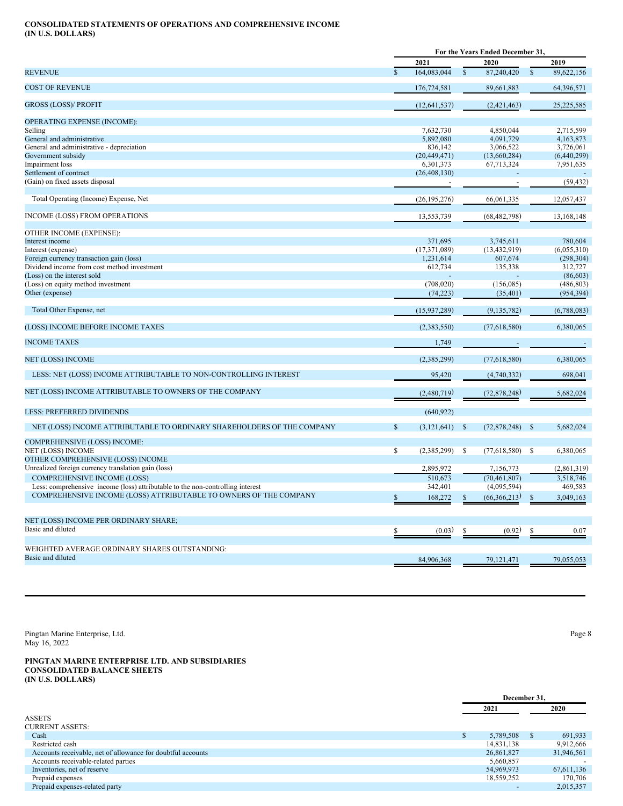# **CONSOLIDATED STATEMENTS OF OPERATIONS AND COMPREHENSIVE INCOME (IN U.S. DOLLARS)**

|                                                                                |               |                |                         | For the Years Ended December 31, |                |             |
|--------------------------------------------------------------------------------|---------------|----------------|-------------------------|----------------------------------|----------------|-------------|
|                                                                                |               | 2021           |                         | 2020                             |                | 2019        |
| <b>REVENUE</b>                                                                 | $\mathcal{S}$ | 164,083,044    | $\overline{\mathbb{S}}$ | 87,240,420                       | $\overline{s}$ | 89,622,156  |
| <b>COST OF REVENUE</b>                                                         |               | 176,724,581    |                         | 89,661,883                       |                | 64,396,571  |
| <b>GROSS (LOSS)/ PROFIT</b>                                                    |               | (12, 641, 537) |                         | (2,421,463)                      |                | 25,225,585  |
| OPERATING EXPENSE (INCOME):                                                    |               |                |                         |                                  |                |             |
| Selling                                                                        |               | 7,632,730      |                         | 4,850,044                        |                | 2,715,599   |
| General and administrative                                                     |               | 5,892,080      |                         | 4,091,729                        |                | 4,163,873   |
| General and administrative - depreciation                                      |               | 836,142        |                         | 3,066,522                        |                | 3,726,061   |
| Government subsidy                                                             |               | (20, 449, 471) |                         | (13,660,284)                     |                | (6,440,299) |
| Impairment loss                                                                |               | 6,301,373      |                         | 67,713,324                       |                | 7,951,635   |
| Settlement of contract                                                         |               | (26, 408, 130) |                         |                                  |                |             |
| (Gain) on fixed assets disposal                                                |               |                |                         |                                  |                | (59, 432)   |
| Total Operating (Income) Expense, Net                                          |               | (26, 195, 276) |                         | 66,061,335                       |                | 12,057,437  |
| INCOME (LOSS) FROM OPERATIONS                                                  |               | 13,553,739     |                         | (68, 482, 798)                   |                | 13,168,148  |
|                                                                                |               |                |                         |                                  |                |             |
| OTHER INCOME (EXPENSE):<br>Interest income                                     |               | 371,695        |                         | 3,745,611                        |                | 780,604     |
| Interest (expense)                                                             |               | (17, 371, 089) |                         | (13, 432, 919)                   |                | (6,055,310) |
| Foreign currency transaction gain (loss)                                       |               | 1,231,614      |                         | 607,674                          |                | (298, 304)  |
| Dividend income from cost method investment                                    |               | 612,734        |                         | 135,338                          |                | 312,727     |
| (Loss) on the interest sold                                                    |               |                |                         |                                  |                | (86, 603)   |
| (Loss) on equity method investment                                             |               | (708, 020)     |                         | (156,085)                        |                | (486, 803)  |
| Other (expense)                                                                |               | (74, 223)      |                         | (35, 401)                        |                | (954, 394)  |
|                                                                                |               |                |                         |                                  |                |             |
| Total Other Expense, net                                                       |               | (15,937,289)   |                         | (9,135,782)                      |                | (6,788,083) |
| (LOSS) INCOME BEFORE INCOME TAXES                                              |               | (2,383,550)    |                         | (77,618,580)                     |                | 6,380,065   |
| <b>INCOME TAXES</b>                                                            |               | 1,749          |                         |                                  |                |             |
| <b>NET (LOSS) INCOME</b>                                                       |               | (2,385,299)    |                         | (77,618,580)                     |                | 6,380,065   |
| LESS: NET (LOSS) INCOME ATTRIBUTABLE TO NON-CONTROLLING INTEREST               |               | 95,420         |                         | (4,740,332)                      |                | 698,041     |
| NET (LOSS) INCOME ATTRIBUTABLE TO OWNERS OF THE COMPANY                        |               | (2,480,719)    |                         | (72,878,248)                     |                | 5,682,024   |
|                                                                                |               |                |                         |                                  |                |             |
| <b>LESS: PREFERRED DIVIDENDS</b>                                               |               | (640, 922)     |                         |                                  |                |             |
| NET (LOSS) INCOME ATTRIBUTABLE TO ORDINARY SHAREHOLDERS OF THE COMPANY         | $\mathbb{S}$  | (3, 121, 641)  | $\mathbb{S}$            | (72,878,248)                     | -S             | 5,682,024   |
| COMPREHENSIVE (LOSS) INCOME:                                                   |               |                |                         |                                  |                |             |
| <b>NET (LOSS) INCOME</b>                                                       | $\mathbb{S}$  | (2,385,299)    | S                       | (77,618,580)                     | - S            | 6,380,065   |
| OTHER COMPREHENSIVE (LOSS) INCOME                                              |               |                |                         |                                  |                |             |
| Unrealized foreign currency translation gain (loss)                            |               | 2,895,972      |                         | 7,156,773                        |                | (2,861,319) |
| <b>COMPREHENSIVE INCOME (LOSS)</b>                                             |               | 510.673        |                         | (70, 461, 807)                   |                | 3,518,746   |
| Less: comprehensive income (loss) attributable to the non-controlling interest |               | 342,401        |                         | (4,095,594)                      |                | 469,583     |
| COMPREHENSIVE INCOME (LOSS) ATTRIBUTABLE TO OWNERS OF THE COMPANY              |               | 168,272        | $\mathbb{S}$            | (66,366,213)                     | \$             | 3,049,163   |
|                                                                                |               |                |                         |                                  |                |             |
| NET (LOSS) INCOME PER ORDINARY SHARE;                                          |               |                |                         |                                  |                |             |
| Basic and diluted                                                              |               | (0.03)         | S                       | (0.92)                           | S              | 0.07        |
| WEIGHTED AVERAGE ORDINARY SHARES OUTSTANDING:                                  |               |                |                         |                                  |                |             |
| Basic and diluted                                                              |               | 84,906,368     |                         | 79,121,471                       |                | 79,055,053  |
|                                                                                |               |                |                         |                                  |                |             |

Pingtan Marine Enterprise, Ltd. Page 8 May 16, 2022

**PINGTAN MARINE ENTERPRISE LTD. AND SUBSIDIARIES CONSOLIDATED BALANCE SHEETS (IN U.S. DOLLARS)**

|                                                             | December 31, |   |            |
|-------------------------------------------------------------|--------------|---|------------|
|                                                             | 2021         |   | 2020       |
| <b>ASSETS</b>                                               |              |   |            |
| <b>CURRENT ASSETS:</b>                                      |              |   |            |
| Cash                                                        | 5,789,508    | S | 691,933    |
| Restricted cash                                             | 14,831,138   |   | 9,912,666  |
| Accounts receivable, net of allowance for doubtful accounts | 26,861,827   |   | 31,946,561 |
| Accounts receivable-related parties                         | 5,660,857    |   |            |
| Inventories, net of reserve                                 | 54,969,973   |   | 67,611,136 |
| Prepaid expenses                                            | 18,559,252   |   | 170,706    |
| Prepaid expenses-related party                              |              |   | 2,015,357  |
|                                                             |              |   |            |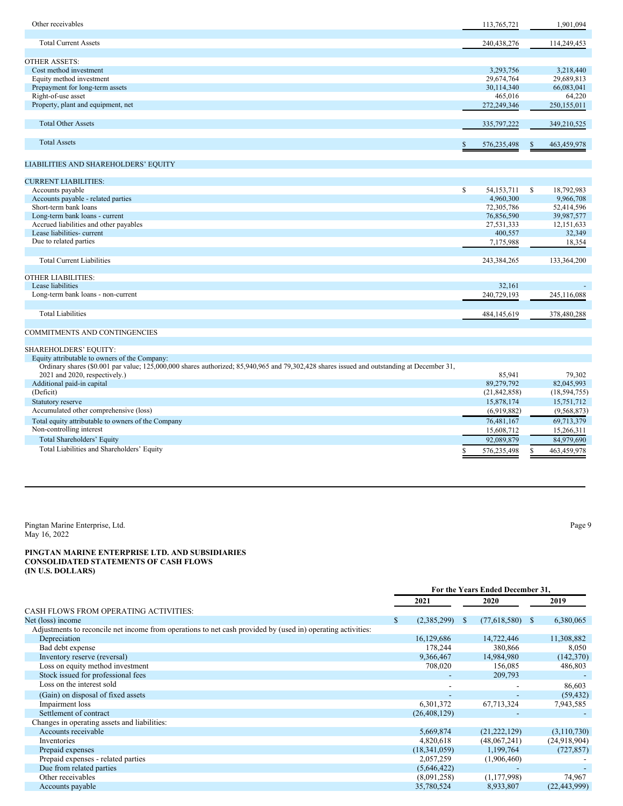| Other receivables                                                                                                                          | 113,765,721              |          | 1,901,094                |
|--------------------------------------------------------------------------------------------------------------------------------------------|--------------------------|----------|--------------------------|
| <b>Total Current Assets</b>                                                                                                                | 240,438,276              |          | 114,249,453              |
| <b>OTHER ASSETS:</b>                                                                                                                       |                          |          |                          |
| Cost method investment                                                                                                                     | 3,293,756                |          | 3.218.440                |
| Equity method investment                                                                                                                   | 29,674,764               |          | 29,689,813               |
| Prepayment for long-term assets                                                                                                            | 30,114,340               |          | 66,083,041               |
| Right-of-use asset                                                                                                                         | 465,016                  |          | 64,220                   |
| Property, plant and equipment, net                                                                                                         | 272,249,346              |          | 250,155,011              |
| <b>Total Other Assets</b>                                                                                                                  | 335,797,222              |          | 349,210,525              |
| <b>Total Assets</b>                                                                                                                        | \$<br>576,235,498        | <b>S</b> | 463,459,978              |
| LIABILITIES AND SHAREHOLDERS' EQUITY                                                                                                       |                          |          |                          |
|                                                                                                                                            |                          |          |                          |
| <b>CURRENT LIABILITIES:</b>                                                                                                                |                          |          |                          |
| Accounts payable                                                                                                                           | \$<br>54, 153, 711       | S        | 18,792,983               |
| Accounts payable - related parties<br>Short-term bank loans                                                                                | 4,960,300                |          | 9,966,708                |
| Long-term bank loans - current                                                                                                             | 72,305,786<br>76,856,590 |          | 52,414,596<br>39,987,577 |
| Accrued liabilities and other payables                                                                                                     | 27,531,333               |          | 12,151,633               |
| Lease liabilities-current                                                                                                                  | 400,557                  |          | 32,349                   |
| Due to related parties                                                                                                                     | 7,175,988                |          | 18,354                   |
|                                                                                                                                            |                          |          |                          |
| <b>Total Current Liabilities</b>                                                                                                           | 243,384,265              |          | 133,364,200              |
| <b>OTHER LIABILITIES:</b>                                                                                                                  |                          |          |                          |
| Lease liabilities                                                                                                                          | 32,161                   |          |                          |
| Long-term bank loans - non-current                                                                                                         | 240,729,193              |          | 245,116,088              |
|                                                                                                                                            |                          |          |                          |
| <b>Total Liabilities</b>                                                                                                                   | 484,145,619              |          | 378,480,288              |
| <b>COMMITMENTS AND CONTINGENCIES</b>                                                                                                       |                          |          |                          |
| SHAREHOLDERS' EQUITY:                                                                                                                      |                          |          |                          |
| Equity attributable to owners of the Company:                                                                                              |                          |          |                          |
| Ordinary shares (\$0.001 par value; 125,000,000 shares authorized; 85,940,965 and 79,302,428 shares issued and outstanding at December 31, |                          |          |                          |
| 2021 and 2020, respectively.)                                                                                                              | 85,941                   |          | 79,302                   |
| Additional paid-in capital                                                                                                                 | 89,279,792               |          | 82,045,993               |
| (Deficit)                                                                                                                                  | (21, 842, 858)           |          | (18, 594, 755)           |
| Statutory reserve                                                                                                                          | 15,878,174               |          | 15,751,712               |
| Accumulated other comprehensive (loss)                                                                                                     | (6,919,882)              |          | (9,568,873)              |
| Total equity attributable to owners of the Company                                                                                         | 76,481,167               |          | 69,713,379               |
| Non-controlling interest                                                                                                                   | 15,608,712               |          | 15,266,311               |
| Total Shareholders' Equity                                                                                                                 | 92,089,879               |          | 84,979,690               |
| Total Liabilities and Shareholders' Equity                                                                                                 | \$<br>576,235,498        | S        | 463,459,978              |
|                                                                                                                                            |                          |          |                          |

Pingtan Marine Enterprise, Ltd. Page 9 May 16, 2022

## **PINGTAN MARINE ENTERPRISE LTD. AND SUBSIDIARIES CONSOLIDATED STATEMENTS OF CASH FLOWS (IN U.S. DOLLARS)**

|                                                                                                             | For the Years Ended December 31, |                |              |                |              |                |
|-------------------------------------------------------------------------------------------------------------|----------------------------------|----------------|--------------|----------------|--------------|----------------|
|                                                                                                             |                                  | 2021           |              | 2020           |              | 2019           |
| <b>CASH FLOWS FROM OPERATING ACTIVITIES:</b>                                                                |                                  |                |              |                |              |                |
| Net (loss) income                                                                                           | S.                               | (2,385,299)    | <sup>S</sup> | (77,618,580)   | <sup>S</sup> | 6,380,065      |
| Adjustments to reconcile net income from operations to net cash provided by (used in) operating activities: |                                  |                |              |                |              |                |
| Depreciation                                                                                                |                                  | 16,129,686     |              | 14,722,446     |              | 11,308,882     |
| Bad debt expense                                                                                            |                                  | 178,244        |              | 380,866        |              | 8,050          |
| Inventory reserve (reversal)                                                                                |                                  | 9,366,467      |              | 14,984,980     |              | (142,370)      |
| Loss on equity method investment                                                                            |                                  | 708,020        |              | 156,085        |              | 486,803        |
| Stock issued for professional fees                                                                          |                                  |                |              | 209,793        |              |                |
| Loss on the interest sold                                                                                   |                                  |                |              |                |              | 86,603         |
| (Gain) on disposal of fixed assets                                                                          |                                  |                |              |                |              | (59, 432)      |
| Impairment loss                                                                                             |                                  | 6,301,372      |              | 67,713,324     |              | 7,943,585      |
| Settlement of contract                                                                                      |                                  | (26, 408, 129) |              |                |              |                |
| Changes in operating assets and liabilities:                                                                |                                  |                |              |                |              |                |
| Accounts receivable                                                                                         |                                  | 5,669,874      |              | (21, 222, 129) |              | (3,110,730)    |
| Inventories                                                                                                 |                                  | 4,820,618      |              | (48,067,241)   |              | (24,918,904)   |
| Prepaid expenses                                                                                            |                                  | (18,341,059)   |              | 1,199,764      |              | (727, 857)     |
| Prepaid expenses - related parties                                                                          |                                  | 2,057,259      |              | (1,906,460)    |              |                |
| Due from related parties                                                                                    |                                  | (5,646,422)    |              |                |              |                |
| Other receivables                                                                                           |                                  | (8,091,258)    |              | (1, 177, 998)  |              | 74,967         |
| Accounts payable                                                                                            |                                  | 35,780,524     |              | 8,933,807      |              | (22, 443, 999) |